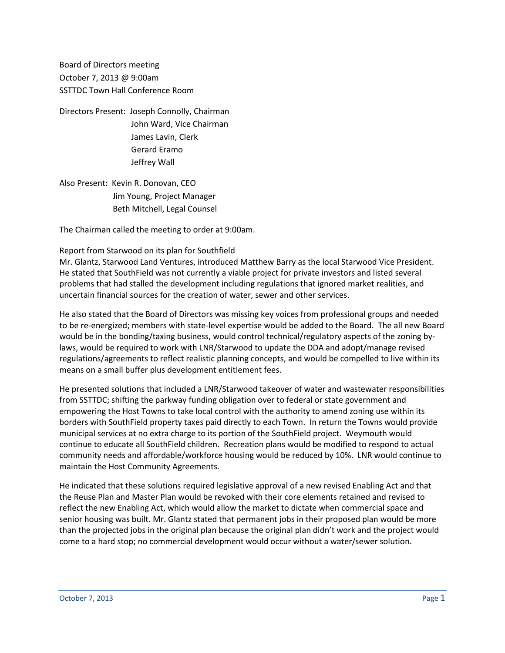Board of Directors meeting October 7, 2013 @ 9:00am SSTTDC Town Hall Conference Room

Directors Present: Joseph Connolly, Chairman John Ward, Vice Chairman James Lavin, Clerk Gerard Eramo Jeffrey Wall

Also Present: Kevin R. Donovan, CEO Jim Young, Project Manager Beth Mitchell, Legal Counsel

The Chairman called the meeting to order at 9:00am.

### Report from Starwood on its plan for Southfield

Mr. Glantz, Starwood Land Ventures, introduced Matthew Barry as the local Starwood Vice President. He stated that SouthField was not currently a viable project for private investors and listed several problems that had stalled the development including regulations that ignored market realities, and uncertain financial sources for the creation of water, sewer and other services.

He also stated that the Board of Directors was missing key voices from professional groups and needed to be re-energized; members with state-level expertise would be added to the Board. The all new Board would be in the bonding/taxing business, would control technical/regulatory aspects of the zoning bylaws, would be required to work with LNR/Starwood to update the DDA and adopt/manage revised regulations/agreements to reflect realistic planning concepts, and would be compelled to live within its means on a small buffer plus development entitlement fees.

He presented solutions that included a LNR/Starwood takeover of water and wastewater responsibilities from SSTTDC; shifting the parkway funding obligation over to federal or state government and empowering the Host Towns to take local control with the authority to amend zoning use within its borders with SouthField property taxes paid directly to each Town. In return the Towns would provide municipal services at no extra charge to its portion of the SouthField project. Weymouth would continue to educate all SouthField children. Recreation plans would be modified to respond to actual community needs and affordable/workforce housing would be reduced by 10%. LNR would continue to maintain the Host Community Agreements.

He indicated that these solutions required legislative approval of a new revised Enabling Act and that the Reuse Plan and Master Plan would be revoked with their core elements retained and revised to reflect the new Enabling Act, which would allow the market to dictate when commercial space and senior housing was built. Mr. Glantz stated that permanent jobs in their proposed plan would be more than the projected jobs in the original plan because the original plan didn't work and the project would come to a hard stop; no commercial development would occur without a water/sewer solution.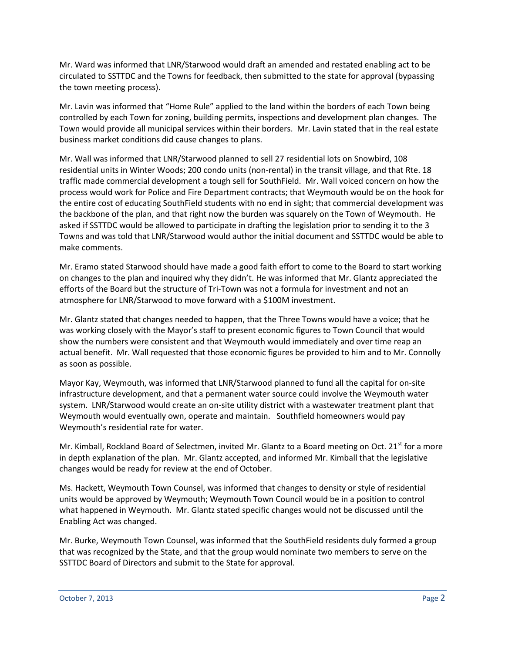Mr. Ward was informed that LNR/Starwood would draft an amended and restated enabling act to be circulated to SSTTDC and the Towns for feedback, then submitted to the state for approval (bypassing the town meeting process).

Mr. Lavin was informed that "Home Rule" applied to the land within the borders of each Town being controlled by each Town for zoning, building permits, inspections and development plan changes. The Town would provide all municipal services within their borders. Mr. Lavin stated that in the real estate business market conditions did cause changes to plans.

Mr. Wall was informed that LNR/Starwood planned to sell 27 residential lots on Snowbird, 108 residential units in Winter Woods; 200 condo units (non-rental) in the transit village, and that Rte. 18 traffic made commercial development a tough sell for SouthField. Mr. Wall voiced concern on how the process would work for Police and Fire Department contracts; that Weymouth would be on the hook for the entire cost of educating SouthField students with no end in sight; that commercial development was the backbone of the plan, and that right now the burden was squarely on the Town of Weymouth. He asked if SSTTDC would be allowed to participate in drafting the legislation prior to sending it to the 3 Towns and was told that LNR/Starwood would author the initial document and SSTTDC would be able to make comments.

Mr. Eramo stated Starwood should have made a good faith effort to come to the Board to start working on changes to the plan and inquired why they didn't. He was informed that Mr. Glantz appreciated the efforts of the Board but the structure of Tri-Town was not a formula for investment and not an atmosphere for LNR/Starwood to move forward with a \$100M investment.

Mr. Glantz stated that changes needed to happen, that the Three Towns would have a voice; that he was working closely with the Mayor's staff to present economic figures to Town Council that would show the numbers were consistent and that Weymouth would immediately and over time reap an actual benefit. Mr. Wall requested that those economic figures be provided to him and to Mr. Connolly as soon as possible.

Mayor Kay, Weymouth, was informed that LNR/Starwood planned to fund all the capital for on-site infrastructure development, and that a permanent water source could involve the Weymouth water system. LNR/Starwood would create an on-site utility district with a wastewater treatment plant that Weymouth would eventually own, operate and maintain. Southfield homeowners would pay Weymouth's residential rate for water.

Mr. Kimball, Rockland Board of Selectmen, invited Mr. Glantz to a Board meeting on Oct. 21<sup>st</sup> for a more in depth explanation of the plan. Mr. Glantz accepted, and informed Mr. Kimball that the legislative changes would be ready for review at the end of October.

Ms. Hackett, Weymouth Town Counsel, was informed that changes to density or style of residential units would be approved by Weymouth; Weymouth Town Council would be in a position to control what happened in Weymouth. Mr. Glantz stated specific changes would not be discussed until the Enabling Act was changed.

Mr. Burke, Weymouth Town Counsel, was informed that the SouthField residents duly formed a group that was recognized by the State, and that the group would nominate two members to serve on the SSTTDC Board of Directors and submit to the State for approval.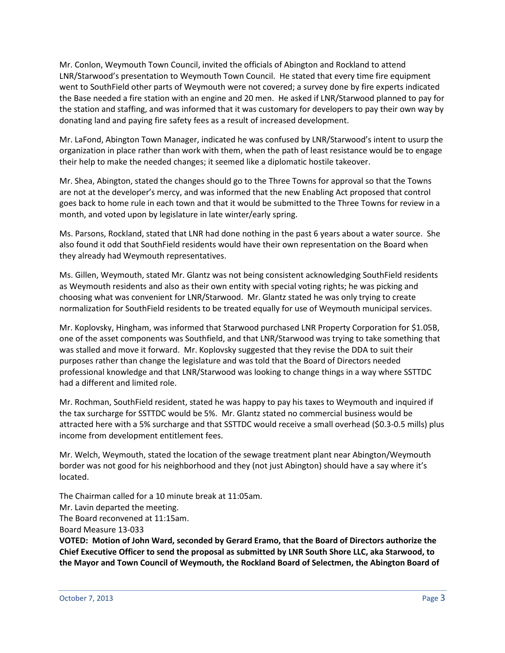Mr. Conlon, Weymouth Town Council, invited the officials of Abington and Rockland to attend LNR/Starwood's presentation to Weymouth Town Council. He stated that every time fire equipment went to SouthField other parts of Weymouth were not covered; a survey done by fire experts indicated the Base needed a fire station with an engine and 20 men. He asked if LNR/Starwood planned to pay for the station and staffing, and was informed that it was customary for developers to pay their own way by donating land and paying fire safety fees as a result of increased development.

Mr. LaFond, Abington Town Manager, indicated he was confused by LNR/Starwood's intent to usurp the organization in place rather than work with them, when the path of least resistance would be to engage their help to make the needed changes; it seemed like a diplomatic hostile takeover.

Mr. Shea, Abington, stated the changes should go to the Three Towns for approval so that the Towns are not at the developer's mercy, and was informed that the new Enabling Act proposed that control goes back to home rule in each town and that it would be submitted to the Three Towns for review in a month, and voted upon by legislature in late winter/early spring.

Ms. Parsons, Rockland, stated that LNR had done nothing in the past 6 years about a water source. She also found it odd that SouthField residents would have their own representation on the Board when they already had Weymouth representatives.

Ms. Gillen, Weymouth, stated Mr. Glantz was not being consistent acknowledging SouthField residents as Weymouth residents and also as their own entity with special voting rights; he was picking and choosing what was convenient for LNR/Starwood. Mr. Glantz stated he was only trying to create normalization for SouthField residents to be treated equally for use of Weymouth municipal services.

Mr. Koplovsky, Hingham, was informed that Starwood purchased LNR Property Corporation for \$1.05B, one of the asset components was Southfield, and that LNR/Starwood was trying to take something that was stalled and move it forward. Mr. Koplovsky suggested that they revise the DDA to suit their purposes rather than change the legislature and was told that the Board of Directors needed professional knowledge and that LNR/Starwood was looking to change things in a way where SSTTDC had a different and limited role.

Mr. Rochman, SouthField resident, stated he was happy to pay his taxes to Weymouth and inquired if the tax surcharge for SSTTDC would be 5%. Mr. Glantz stated no commercial business would be attracted here with a 5% surcharge and that SSTTDC would receive a small overhead (\$0.3-0.5 mills) plus income from development entitlement fees.

Mr. Welch, Weymouth, stated the location of the sewage treatment plant near Abington/Weymouth border was not good for his neighborhood and they (not just Abington) should have a say where it's located.

The Chairman called for a 10 minute break at 11:05am.

Mr. Lavin departed the meeting.

The Board reconvened at 11:15am.

Board Measure 13-033

**VOTED: Motion of John Ward, seconded by Gerard Eramo, that the Board of Directors authorize the Chief Executive Officer to send the proposal as submitted by LNR South Shore LLC, aka Starwood, to the Mayor and Town Council of Weymouth, the Rockland Board of Selectmen, the Abington Board of**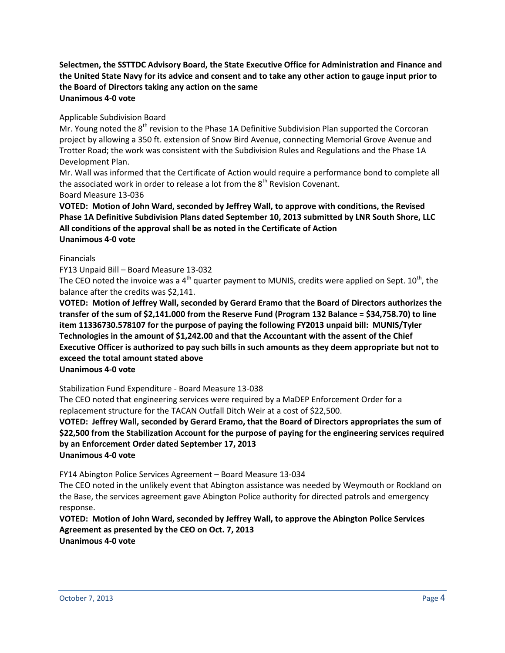**Selectmen, the SSTTDC Advisory Board, the State Executive Office for Administration and Finance and the United State Navy for its advice and consent and to take any other action to gauge input prior to the Board of Directors taking any action on the same Unanimous 4-0 vote**

# Applicable Subdivision Board

Mr. Young noted the  $8<sup>th</sup>$  revision to the Phase 1A Definitive Subdivision Plan supported the Corcoran project by allowing a 350 ft. extension of Snow Bird Avenue, connecting Memorial Grove Avenue and Trotter Road; the work was consistent with the Subdivision Rules and Regulations and the Phase 1A Development Plan.

Mr. Wall was informed that the Certificate of Action would require a performance bond to complete all the associated work in order to release a lot from the  $8<sup>th</sup>$  Revision Covenant.

Board Measure 13-036

**VOTED: Motion of John Ward, seconded by Jeffrey Wall, to approve with conditions, the Revised Phase 1A Definitive Subdivision Plans dated September 10, 2013 submitted by LNR South Shore, LLC All conditions of the approval shall be as noted in the Certificate of Action Unanimous 4-0 vote**

### Financials

FY13 Unpaid Bill – Board Measure 13-032

The CEO noted the invoice was a 4<sup>th</sup> quarter payment to MUNIS, credits were applied on Sept.  $10^{th}$ , the balance after the credits was \$2,141.

**VOTED: Motion of Jeffrey Wall, seconded by Gerard Eramo that the Board of Directors authorizes the transfer of the sum of \$2,141.000 from the Reserve Fund (Program 132 Balance = \$34,758.70) to line item 11336730.578107 for the purpose of paying the following FY2013 unpaid bill: MUNIS/Tyler Technologies in the amount of \$1,242.00 and that the Accountant with the assent of the Chief Executive Officer is authorized to pay such bills in such amounts as they deem appropriate but not to exceed the total amount stated above**

**Unanimous 4-0 vote**

Stabilization Fund Expenditure - Board Measure 13-038

The CEO noted that engineering services were required by a MaDEP Enforcement Order for a replacement structure for the TACAN Outfall Ditch Weir at a cost of \$22,500.

**VOTED: Jeffrey Wall, seconded by Gerard Eramo, that the Board of Directors appropriates the sum of \$22,500 from the Stabilization Account for the purpose of paying for the engineering services required by an Enforcement Order dated September 17, 2013 Unanimous 4-0 vote**

FY14 Abington Police Services Agreement – Board Measure 13-034

The CEO noted in the unlikely event that Abington assistance was needed by Weymouth or Rockland on the Base, the services agreement gave Abington Police authority for directed patrols and emergency response.

**VOTED: Motion of John Ward, seconded by Jeffrey Wall, to approve the Abington Police Services Agreement as presented by the CEO on Oct. 7, 2013 Unanimous 4-0 vote**